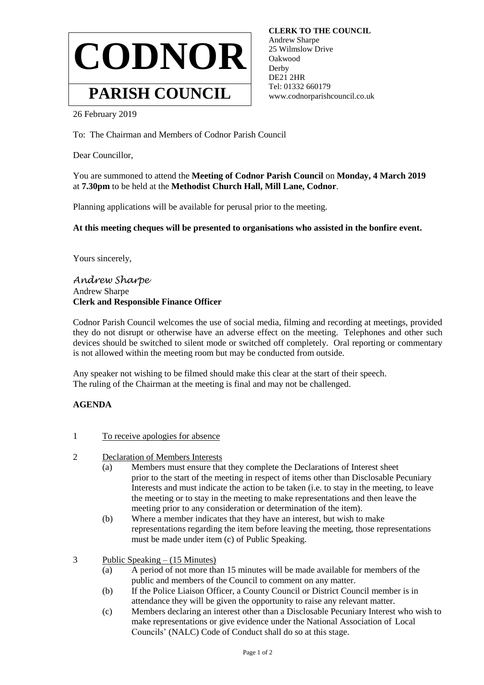

 **CLERK TO THE COUNCIL** Andrew Sharpe 25 Wilmslow Drive Oakwood **Derby**  DE21 2HR Tel: 01332 660179 www.codnorparishcouncil.co.uk

26 February 2019

To: The Chairman and Members of Codnor Parish Council

Dear Councillor,

You are summoned to attend the **Meeting of Codnor Parish Council** on **Monday, 4 March 2019** at **7.30pm** to be held at the **Methodist Church Hall, Mill Lane, Codnor**.

Planning applications will be available for perusal prior to the meeting.

**At this meeting cheques will be presented to organisations who assisted in the bonfire event.**

Yours sincerely,

*Andrew Sharpe* Andrew Sharpe **Clerk and Responsible Finance Officer**

Codnor Parish Council welcomes the use of social media, filming and recording at meetings, provided they do not disrupt or otherwise have an adverse effect on the meeting. Telephones and other such devices should be switched to silent mode or switched off completely. Oral reporting or commentary is not allowed within the meeting room but may be conducted from outside.

Any speaker not wishing to be filmed should make this clear at the start of their speech. The ruling of the Chairman at the meeting is final and may not be challenged.

## **AGENDA**

- 1 To receive apologies for absence
- 2 Declaration of Members Interests
	- (a) Members must ensure that they complete the Declarations of Interest sheet prior to the start of the meeting in respect of items other than Disclosable Pecuniary Interests and must indicate the action to be taken (i.e. to stay in the meeting, to leave the meeting or to stay in the meeting to make representations and then leave the meeting prior to any consideration or determination of the item).
	- (b) Where a member indicates that they have an interest, but wish to make representations regarding the item before leaving the meeting, those representations must be made under item (c) of Public Speaking.

3 Public Speaking – (15 Minutes)

- (a) A period of not more than 15 minutes will be made available for members of the public and members of the Council to comment on any matter.
- (b) If the Police Liaison Officer, a County Council or District Council member is in attendance they will be given the opportunity to raise any relevant matter.
- (c) Members declaring an interest other than a Disclosable Pecuniary Interest who wish to make representations or give evidence under the National Association of Local Councils' (NALC) Code of Conduct shall do so at this stage.